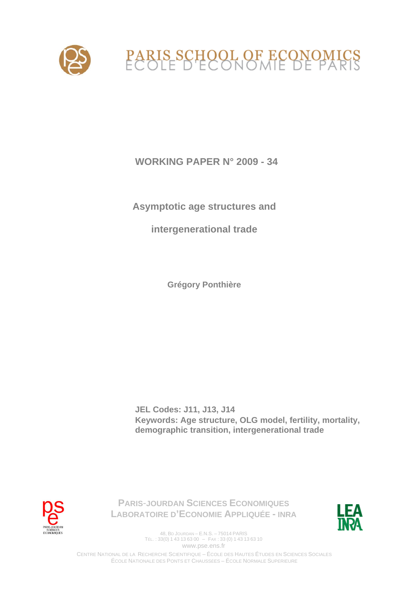

 **WORKING PAPER N° 2009 - 34** 

**Asymptotic age structures and** 

**intergenerational trade** 

**Grégory Ponthière** 

**JEL Codes: J11, J13, J14 Keywords: Age structure, OLG model, fertility, mortality, demographic transition, intergenerational trade** 



**PARIS**-**JOURDAN SCIENCES ECONOMIQUES LABORATOIRE D'ECONOMIE APPLIQUÉE - INRA**



48, BD JOURDAN – E.N.S. – 75014 PARIS TÉL. : 33(0) 1 43 13 63 00 – FAX : 33 (0) 1 43 13 63 10 www.pse.ens.fr

CENTRE NATIONAL DE LA RECHERCHE SCIENTIFIQUE – ÉCOLE DES HAUTES ÉTUDES EN SCIENCES SOCIALES ÉCOLE NATIONALE DES PONTS ET CHAUSSÉES – ÉCOLE NORMALE SUPÉRIEURE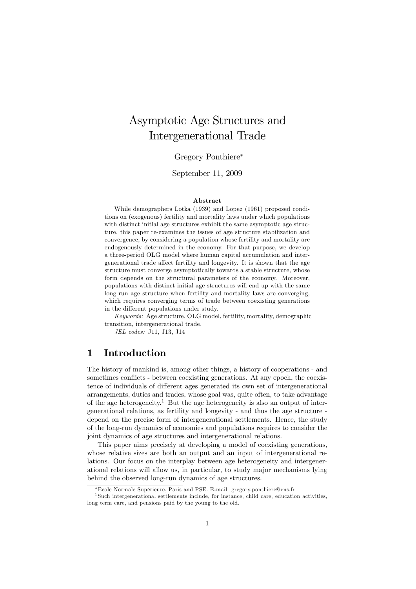# Asymptotic Age Structures and Intergenerational Trade

### Gregory Ponthiere

### September 11, 2009

#### Abstract

While demographers Lotka (1939) and Lopez (1961) proposed conditions on (exogenous) fertility and mortality laws under which populations with distinct initial age structures exhibit the same asymptotic age structure, this paper re-examines the issues of age structure stabilization and convergence, by considering a population whose fertility and mortality are endogenously determined in the economy. For that purpose, we develop a three-period OLG model where human capital accumulation and intergenerational trade affect fertility and longevity. It is shown that the age structure must converge asymptotically towards a stable structure, whose form depends on the structural parameters of the economy. Moreover, populations with distinct initial age structures will end up with the same long-run age structure when fertility and mortality laws are converging, which requires converging terms of trade between coexisting generations in the different populations under study.

Keywords: Age structure, OLG model, fertility, mortality, demographic transition, intergenerational trade.

JEL codes: J11, J13, J14

## 1 Introduction

The history of mankind is, among other things, a history of cooperations - and sometimes conflicts - between coexisting generations. At any epoch, the coexistence of individuals of different ages generated its own set of intergenerational arrangements, duties and trades, whose goal was, quite often, to take advantage of the age heterogeneity.<sup>1</sup> But the age heterogeneity is also an output of intergenerational relations, as fertility and longevity - and thus the age structure depend on the precise form of intergenerational settlements. Hence, the study of the long-run dynamics of economies and populations requires to consider the joint dynamics of age structures and intergenerational relations.

This paper aims precisely at developing a model of coexisting generations, whose relative sizes are both an output and an input of intergenerational relations. Our focus on the interplay between age heterogeneity and intergenerational relations will allow us, in particular, to study major mechanisms lying behind the observed long-run dynamics of age structures.

Ecole Normale SupÈrieure, Paris and PSE. E-mail: gregory.ponthiere@ens.fr

<sup>1</sup> Such intergenerational settlements include, for instance, child care, education activities, long term care, and pensions paid by the young to the old.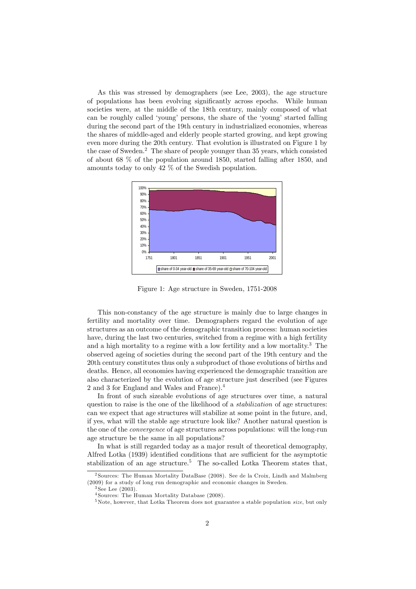As this was stressed by demographers (see Lee, 2003), the age structure of populations has been evolving significantly across epochs. While human societies were, at the middle of the 18th century, mainly composed of what can be roughly called 'young' persons, the share of the 'young' started falling during the second part of the 19th century in industrialized economies, whereas the shares of middle-aged and elderly people started growing, and kept growing even more during the 20th century. That evolution is illustrated on Figure 1 by the case of Sweden.<sup>2</sup> The share of people younger than 35 years, which consisted of about 68 % of the population around 1850, started falling after 1850, and amounts today to only 42 % of the Swedish population.



Figure 1: Age structure in Sweden, 1751-2008

This non-constancy of the age structure is mainly due to large changes in fertility and mortality over time. Demographers regard the evolution of age structures as an outcome of the demographic transition process: human societies have, during the last two centuries, switched from a regime with a high fertility and a high mortality to a regime with a low fertility and a low mortality.<sup>3</sup> The observed ageing of societies during the second part of the 19th century and the 20th century constitutes thus only a subproduct of those evolutions of births and deaths. Hence, all economies having experienced the demographic transition are also characterized by the evolution of age structure just described (see Figures 2 and 3 for England and Wales and France).<sup>4</sup>

In front of such sizeable evolutions of age structures over time, a natural question to raise is the one of the likelihood of a *stabilization* of age structures: can we expect that age structures will stabilize at some point in the future, and, if yes, what will the stable age structure look like? Another natural question is the one of the convergence of age structures across populations: will the long-run age structure be the same in all populations?

In what is still regarded today as a major result of theoretical demography, Alfred Lotka (1939) identified conditions that are sufficient for the asymptotic stabilization of an age structure.<sup>5</sup> The so-called Lotka Theorem states that,

<sup>2</sup> Sources: The Human Mortality DataBase (2008). See de la Croix, Lindh and Malmberg (2009) for a study of long run demographic and economic changes in Sweden.

 $3$  See Lee  $(2003)$ .

<sup>4</sup> Sources: The Human Mortality Database (2008).

 $5$ Note, however, that Lotka Theorem does not guarantee a stable population *size*, but only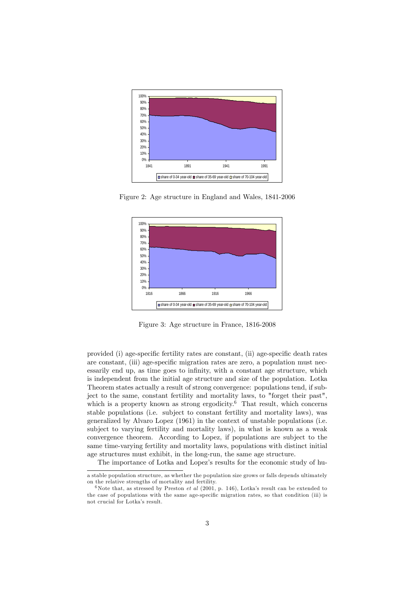

Figure 2: Age structure in England and Wales, 1841-2006



Figure 3: Age structure in France, 1816-2008

provided (i) age-specific fertility rates are constant, (ii) age-specific death rates are constant, (iii) age-specific migration rates are zero, a population must necessarily end up, as time goes to infinity, with a constant age structure, which is independent from the initial age structure and size of the population. Lotka Theorem states actually a result of strong convergence: populations tend, if subject to the same, constant fertility and mortality laws, to "forget their past", which is a property known as strong ergodicity.<sup> $\overset{\circ}{\theta}$ </sup> That result, which concerns stable populations (i.e. subject to constant fertility and mortality laws), was generalized by Alvaro Lopez (1961) in the context of unstable populations (i.e. subject to varying fertility and mortality laws), in what is known as a weak convergence theorem. According to Lopez, if populations are subject to the same time-varying fertility and mortality laws, populations with distinct initial age structures must exhibit, in the long-run, the same age structure.

The importance of Lotka and Lopez's results for the economic study of hu-

a stable population structure, as whether the population size grows or falls depends ultimately on the relative strengths of mortality and fertility.

<sup>&</sup>lt;sup>6</sup>Note that, as stressed by Preston *et al* (2001, p. 146), Lotka's result can be extended to the case of populations with the same age-specific migration rates, so that condition (iii) is not crucial for Lotka's result.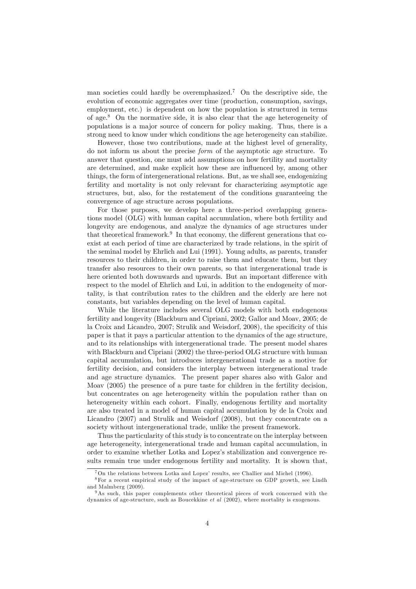man societies could hardly be overemphasized.<sup>7</sup> On the descriptive side, the evolution of economic aggregates over time (production, consumption, savings, employment, etc.) is dependent on how the population is structured in terms of age.<sup>8</sup> On the normative side, it is also clear that the age heterogeneity of populations is a major source of concern for policy making. Thus, there is a strong need to know under which conditions the age heterogeneity can stabilize.

However, those two contributions, made at the highest level of generality, do not inform us about the precise form of the asymptotic age structure. To answer that question, one must add assumptions on how fertility and mortality are determined, and make explicit how these are influenced by, among other things, the form of intergenerational relations. But, as we shall see, endogenizing fertility and mortality is not only relevant for characterizing asymptotic age structures, but, also, for the restatement of the conditions guaranteeing the convergence of age structure across populations.

For those purposes, we develop here a three-period overlapping generations model (OLG) with human capital accumulation, where both fertility and longevity are endogenous, and analyze the dynamics of age structures under that theoretical framework.<sup>9</sup> In that economy, the different generations that coexist at each period of time are characterized by trade relations, in the spirit of the seminal model by Ehrlich and Lui (1991). Young adults, as parents, transfer resources to their children, in order to raise them and educate them, but they transfer also resources to their own parents, so that intergenerational trade is here oriented both downwards and upwards. But an important difference with respect to the model of Ehrlich and Lui, in addition to the endogeneity of mortality, is that contribution rates to the children and the elderly are here not constants, but variables depending on the level of human capital.

While the literature includes several OLG models with both endogenous fertility and longevity (Blackburn and Cipriani, 2002; Gallor and Moav, 2005; de la Croix and Licandro,  $2007$ ; Strulik and Weisdorf,  $2008$ ), the specificity of this paper is that it pays a particular attention to the dynamics of the age structure, and to its relationships with intergenerational trade. The present model shares with Blackburn and Cipriani (2002) the three-period OLG structure with human capital accumulation, but introduces intergenerational trade as a motive for fertility decision, and considers the interplay between intergenerational trade and age structure dynamics. The present paper shares also with Galor and Moav (2005) the presence of a pure taste for children in the fertility decision, but concentrates on age heterogeneity within the population rather than on heterogeneity within each cohort. Finally, endogenous fertility and mortality are also treated in a model of human capital accumulation by de la Croix and Licandro (2007) and Strulik and Weisdorf (2008), but they concentrate on a society without intergenerational trade, unlike the present framework.

Thus the particularity of this study is to concentrate on the interplay between age heterogeneity, intergenerational trade and human capital accumulation, in order to examine whether Lotka and Lopezís stabilization and convergence results remain true under endogenous fertility and mortality. It is shown that,

 $7$ On the relations between Lotka and Lopez' results, see Challier and Michel (1996).

<sup>8</sup>For a recent empirical study of the impact of age-structure on GDP growth, see Lindh and Malmberg (2009).

<sup>&</sup>lt;sup>9</sup>As such, this paper complements other theoretical pieces of work concerned with the dynamics of age-structure, such as Boucekkine et al (2002), where mortality is exogenous.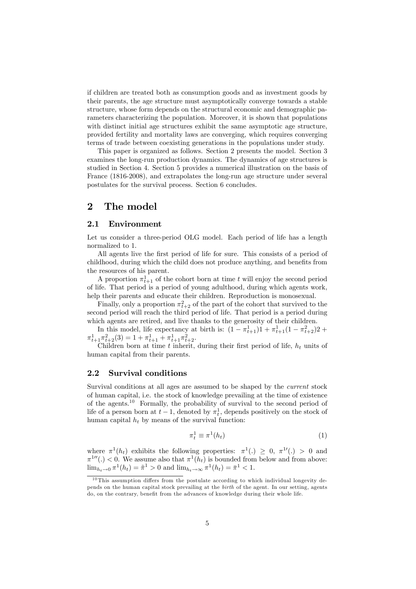if children are treated both as consumption goods and as investment goods by their parents, the age structure must asymptotically converge towards a stable structure, whose form depends on the structural economic and demographic parameters characterizing the population. Moreover, it is shown that populations with distinct initial age structures exhibit the same asymptotic age structure, provided fertility and mortality laws are converging, which requires converging terms of trade between coexisting generations in the populations under study.

This paper is organized as follows. Section 2 presents the model. Section 3 examines the long-run production dynamics. The dynamics of age structures is studied in Section 4. Section 5 provides a numerical illustration on the basis of France (1816-2008), and extrapolates the long-run age structure under several postulates for the survival process. Section 6 concludes.

# 2 The model

#### 2.1 Environment

Let us consider a three-period OLG model. Each period of life has a length normalized to 1.

All agents live the first period of life for sure. This consists of a period of childhood, during which the child does not produce anything, and benefits from the resources of his parent.

A proportion  $\pi_{t+1}^1$  of the cohort born at time t will enjoy the second period of life. That period is a period of young adulthood, during which agents work, help their parents and educate their children. Reproduction is monosexual.

Finally, only a proportion  $\pi_{t+2}^2$  of the part of the cohort that survived to the second period will reach the third period of life. That period is a period during which agents are retired, and live thanks to the generosity of their children.

In this model, life expectancy at birth is:  $(1 - \pi_{t+1}^1)1 + \pi_{t+1}^1(1 - \pi_{t+2}^2)2 +$  $\pi_{t+1}^1 \pi_{t+2}^2(3) = 1 + \pi_{t+1}^1 + \pi_{t+1}^1 \pi_{t+2}^2.$ 

Children born at time  $t$  inherit, during their first period of life,  $h_t$  units of human capital from their parents.

### 2.2 Survival conditions

Survival conditions at all ages are assumed to be shaped by the current stock of human capital, i.e. the stock of knowledge prevailing at the time of existence of the agents.<sup>10</sup> Formally, the probability of survival to the second period of life of a person born at  $t-1$ , denoted by  $\pi_t^1$ , depends positively on the stock of human capital  $h_t$  by means of the survival function:

$$
\pi_t^1 \equiv \pi^1(h_t) \tag{1}
$$

where  $\pi^1(h_t)$  exhibits the following properties:  $\pi^1(.) \geq 0$ ,  $\pi^1(.) > 0$  and  $\pi^{1}$ <sup> $\pi$ </sup> $($ .)  $<$  0. We assume also that  $\pi^{1}(h_t)$  is bounded from below and from above:  $\lim_{h_t \to 0} \pi^1(h_t) = \tilde{\pi}^1 > 0$  and  $\lim_{h_t \to \infty} \pi^1(h_t) = \bar{\pi}^1 < 1$ .

 $10$  This assumption differs from the postulate according to which individual longevity depends on the human capital stock prevailing at the birth of the agent. In our setting, agents do, on the contrary, benefit from the advances of knowledge during their whole life.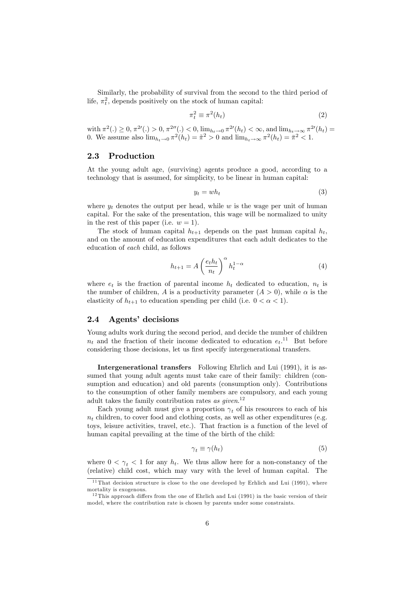Similarly, the probability of survival from the second to the third period of life,  $\pi_t^2$ , depends positively on the stock of human capital:

$$
\pi_t^2 \equiv \pi^2(h_t) \tag{2}
$$

with  $\pi^2(.) \ge 0$ ,  $\pi^{2\prime}(.) > 0$ ,  $\pi^{2\prime\prime}(.) < 0$ ,  $\lim_{h_t \to 0} \pi^{2\prime}(h_t) < \infty$ , and  $\lim_{h_t \to \infty} \pi^{2\prime}(h_t) =$ 0. We assume also  $\lim_{h_t \to 0} \pi^2(h_t) = \tilde{\pi}^2 > 0$  and  $\lim_{h_t \to \infty} \pi^2(h_t) = \bar{\pi}^2 < 1$ .

### 2.3 Production

At the young adult age, (surviving) agents produce a good, according to a technology that is assumed, for simplicity, to be linear in human capital:

$$
y_t = wh_t \tag{3}
$$

where  $y_t$  denotes the output per head, while w is the wage per unit of human capital. For the sake of the presentation, this wage will be normalized to unity in the rest of this paper (i.e.  $w = 1$ ).

The stock of human capital  $h_{t+1}$  depends on the past human capital  $h_t$ , and on the amount of education expenditures that each adult dedicates to the education of each child, as follows

$$
h_{t+1} = A \left(\frac{e_t h_t}{n_t}\right)^{\alpha} h_t^{1-\alpha} \tag{4}
$$

where  $e_t$  is the fraction of parental income  $h_t$  dedicated to education,  $n_t$  is the number of children, A is a productivity parameter  $(A > 0)$ , while  $\alpha$  is the elasticity of  $h_{t+1}$  to education spending per child (i.e.  $0 < \alpha < 1$ ).

### 2.4 Agents' decisions

Young adults work during the second period, and decide the number of children  $n_t$  and the fraction of their income dedicated to education  $e_t$ .<sup>11</sup> But before considering those decisions, let us first specify intergenerational transfers.

Intergenerational transfers Following Ehrlich and Lui (1991), it is assumed that young adult agents must take care of their family: children (consumption and education) and old parents (consumption only). Contributions to the consumption of other family members are compulsory, and each young adult takes the family contribution rates as given.<sup>12</sup>

Each young adult must give a proportion  $\gamma_t$  of his resources to each of his  $n_t$  children, to cover food and clothing costs, as well as other expenditures (e.g. toys, leisure activities, travel, etc.). That fraction is a function of the level of human capital prevailing at the time of the birth of the child:

$$
\gamma_t \equiv \gamma(h_t) \tag{5}
$$

where  $0 < \gamma_t < 1$  for any  $h_t$ . We thus allow here for a non-constancy of the (relative) child cost, which may vary with the level of human capital. The

 $11$ That decision structure is close to the one developed by Erhlich and Lui (1991), where mortality is exogenous.

 $12$ This approach differs from the one of Ehrlich and Lui (1991) in the basic version of their model, where the contribution rate is chosen by parents under some constraints.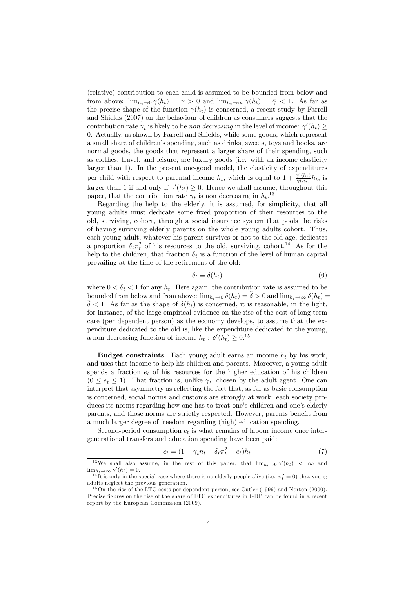(relative) contribution to each child is assumed to be bounded from below and from above:  $\lim_{h_t \to 0} \gamma(h_t) = \tilde{\gamma} > 0$  and  $\lim_{h_t \to \infty} \gamma(h_t) = \bar{\gamma} < 1$ . As far as the precise shape of the function  $\gamma(h_t)$  is concerned, a recent study by Farrell and Shields (2007) on the behaviour of children as consumers suggests that the contribution rate  $\gamma_t$  is likely to be non decreasing in the level of income:  $\gamma'(h_t) \ge$ 0. Actually, as shown by Farrell and Shields, while some goods, which represent a small share of children's spending, such as drinks, sweets, toys and books, are normal goods, the goods that represent a larger share of their spending, such as clothes, travel, and leisure, are luxury goods (i.e. with an income elasticity larger than 1). In the present one-good model, the elasticity of expenditures per child with respect to parental income  $h_t$ , which is equal to  $1 + \frac{\gamma'(h_t)}{\gamma(h_t)}$  $\frac{\gamma(n_t)}{\gamma(h_t)}h_t$ , is larger than 1 if and only if  $\gamma'(h_t) \geq 0$ . Hence we shall assume, throughout this paper, that the contribution rate  $\gamma_t$  is non decreasing in  $h_t$ .<sup>13</sup>

Regarding the help to the elderly, it is assumed, for simplicity, that all young adults must dedicate some fixed proportion of their resources to the old, surviving, cohort, through a social insurance system that pools the risks of having surviving elderly parents on the whole young adults cohort. Thus, each young adult, whatever his parent survives or not to the old age, dedicates a proportion  $\delta_t \pi_t^2$  of his resources to the old, surviving, cohort.<sup>14</sup> As for the help to the children, that fraction  $\delta_t$  is a function of the level of human capital prevailing at the time of the retirement of the old:

$$
\delta_t \equiv \delta(h_t) \tag{6}
$$

where  $0 < \delta_t < 1$  for any  $h_t$ . Here again, the contribution rate is assumed to be bounded from below and from above:  $\lim_{h_t \to 0} \delta(h_t) = \delta > 0$  and  $\lim_{h_t \to \infty} \delta(h_t) =$  $\overline{\delta}$  < 1. As far as the shape of  $\delta(h_t)$  is concerned, it is reasonable, in the light, for instance, of the large empirical evidence on the rise of the cost of long term care (per dependent person) as the economy develops, to assume that the expenditure dedicated to the old is, like the expenditure dedicated to the young, a non decreasing function of income  $h_t$ :  $\delta'(h_t) \geq 0.15$ 

**Budget constraints** Each young adult earns an income  $h_t$  by his work, and uses that income to help his children and parents. Moreover, a young adult spends a fraction  $e_t$  of his resources for the higher education of his children  $(0 \le e_t \le 1)$ . That fraction is, unlike  $\gamma_t$ , chosen by the adult agent. One can interpret that asymmetry as reflecting the fact that, as far as basic consumption is concerned, social norms and customs are strongly at work: each society produces its norms regarding how one has to treat one's children and one's elderly parents, and those norms are strictly respected. However, parents benefit from a much larger degree of freedom regarding (high) education spending.

Second-period consumption  $c_t$  is what remains of labour income once intergenerational transfers and education spending have been paid:

$$
c_t = (1 - \gamma_t n_t - \delta_t \pi_t^2 - e_t) h_t \tag{7}
$$

<sup>&</sup>lt;sup>13</sup>We shall also assume, in the rest of this paper, that  $\lim_{h_t \to 0} \gamma'(h_t) < \infty$  and  $\lim_{h_t \to \infty} \gamma'(h_t) = 0.$ 

<sup>&</sup>lt;sup>14</sup>It is only in the special case where there is no elderly people alive (i.e.  $\pi_t^2 = 0$ ) that young adults neglect the previous generation.

<sup>&</sup>lt;sup>15</sup>On the rise of the LTC costs per dependent person, see Cutler (1996) and Norton (2000). Precise figures on the rise of the share of LTC expenditures in GDP can be found in a recent report by the European Commission (2009).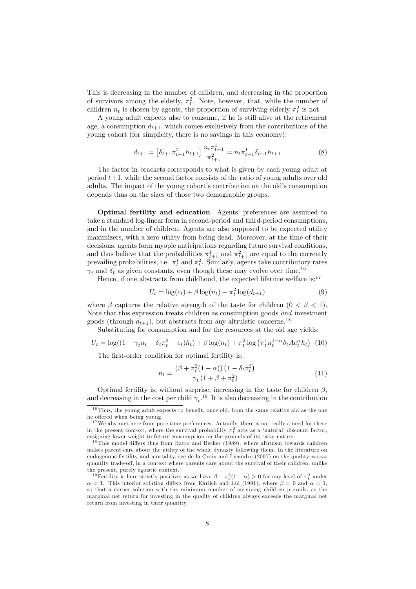This is decreasing in the number of children, and decreasing in the proportion of survivors among the elderly,  $\pi_t^2$ . Note, however, that, while the number of children  $n_t$  is chosen by agents, the proportion of surviving elderly  $\pi_t^2$  is not.

A young adult expects also to consume, if he is still alive at the retirement age, a consumption  $d_{t+1}$ , which comes exclusively from the contributions of the young cohort (for simplicity, there is no savings in this economy):

$$
d_{t+1} = \left[\delta_{t+1}\pi_{t+1}^2 h_{t+1}\right] \frac{n_t \pi_{t+1}^1}{\pi_{t+1}^2} = n_t \pi_{t+1}^1 \delta_{t+1} h_{t+1} \tag{8}
$$

The factor in brackets corresponds to what is given by each young adult at period  $t+1$ , while the second factor consists of the ratio of young adults over old adults. The impact of the young cohort's contribution on the old's consumption depends thus on the sizes of those two demographic groups.

Optimal fertility and education Agents' preferences are assumed to take a standard log-linear form in second-period and third-period consumptions, and in the number of children. Agents are also supposed to be expected utility maximizers, with a zero utility from being dead. Moreover, at the time of their decisions, agents form myopic anticipations regarding future survival conditions, and thus believe that the probabilities  $\pi_{t+1}^1$  and  $\pi_{t+1}^2$  are equal to the currently prevailing probabilities, i.e.  $\pi_t^1$  and  $\pi_t^2$ . Similarly, agents take contributory rates  $\gamma_t$  and  $\delta_t$  as given constants, even though these may evolve over time.<sup>16</sup>

Hence, if one abstracts from childhood, the expected lifetime welfare is: $^{17}$ 

$$
U_t = \log(c_t) + \beta \log(n_t) + \pi_t^2 \log(d_{t+1})
$$
\n(9)

where  $\beta$  captures the relative strength of the taste for children  $(0 < \beta < 1)$ . Note that this expression treats children as consumption goods and investment goods (through  $d_{t+1}$ ), but abstracts from any altruistic concerns.<sup>18</sup>

Substituting for consumption and for the resources at the old age yields:

$$
U_t = \log((1 - \gamma_t n_t - \delta_t \pi_t^2 - e_t)h_t) + \beta \log(n_t) + \pi_t^2 \log(\pi_t^1 n_t^{1-\alpha} \delta_t A e_t^{\alpha} h_t)
$$
 (10)

The first-order condition for optimal fertility is:

$$
n_t = \frac{\left(\beta + \pi_t^2 (1 - \alpha)\right) \left(1 - \delta_t \pi_t^2\right)}{\gamma_t \left(1 + \beta + \pi_t^2\right)}\tag{11}
$$

Optimal fertility is, without surprise, increasing in the taste for children  $\beta$ , and decreasing in the cost per child  $\gamma_t$ .<sup>19</sup> It is also decreasing in the contribution

 $16$  Thus, the young adult expects to benefit, once old, from the same relative aid as the one he offered when being young.

 $17$  We abstract here from pure time preferences. Actually, there is not really a need for these in the present context, where the survival probability  $\pi_t^2$  acts as a 'natural' discount factor, assigning lower weight to future consumption on the grounds of its risky nature.

 $^{18}$ This model differs thus from Barro and Becker (1989), where altruism towards children makes parent care about the utility of the whole dynasty following them. In the literature on endogenous fertility and mortality, see de la Croix and Licandro (2007) on the quality versus quantity trade-off, in a context where parents care about the survival of their children, unlike the present, purely egoistic context.

<sup>&</sup>lt;sup>19</sup> Fertility is here strictly positive, as we have  $\beta + \pi_t^2(1-\alpha) > 0$  for any level of  $\pi_t^2$  under  $\alpha$  < 1. This interior solution differs from Ehrlich and Lui (1991), where  $\beta = 0$  and  $\alpha = 1$ , so that a corner solution with the minimum number of surviving children prevails, as the marginal net return for investing in the quality of children always exceeds the marginal net return from investing in their quantity.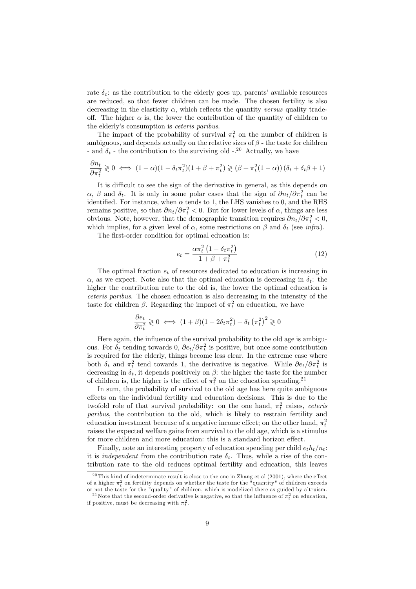rate  $\delta_t$ : as the contribution to the elderly goes up, parents' available resources are reduced, so that fewer children can be made. The chosen fertility is also decreasing in the elasticity  $\alpha$ , which reflects the quantity versus quality tradeoff. The higher  $\alpha$  is, the lower the contribution of the quantity of children to the elderly's consumption is *ceteris paribus*.

The impact of the probability of survival  $\pi_t^2$  on the number of children is ambiguous, and depends actually on the relative sizes of  $\beta$  - the taste for children - and  $\delta_t$  - the contribution to the surviving old -.<sup>20</sup> Actually, we have

$$
\frac{\partial n_t}{\partial \pi_t^2} \geq 0 \iff (1 - \alpha)(1 - \delta_t \pi_t^2)(1 + \beta + \pi_t^2) \geq (\beta + \pi_t^2(1 - \alpha))(\delta_t + \delta_t \beta + 1)
$$

It is difficult to see the sign of the derivative in general, as this depends on  $\alpha$ ,  $\beta$  and  $\delta_t$ . It is only in some polar cases that the sign of  $\partial n_t/\partial \pi_t^2$  can be identified. For instance, when  $\alpha$  tends to 1, the LHS vanishes to 0, and the RHS remains positive, so that  $\partial n_t/\partial \pi_t^2 < 0$ . But for lower levels of  $\alpha$ , things are less obvious. Note, however, that the demographic transition requires  $\partial n_t/\partial \pi_t^2 < 0$ , which implies, for a given level of  $\alpha$ , some restrictions on  $\beta$  and  $\delta_t$  (see *infra*).

The first-order condition for optimal education is:

$$
e_t = \frac{\alpha \pi_t^2 \left(1 - \delta_t \pi_t^2\right)}{1 + \beta + \pi_t^2} \tag{12}
$$

The optimal fraction  $e_t$  of resources dedicated to education is increasing in  $\alpha$ , as we expect. Note also that the optimal education is decreasing in  $\delta_t$ : the higher the contribution rate to the old is, the lower the optimal education is ceteris paribus. The chosen education is also decreasing in the intensity of the taste for children  $\beta$ . Regarding the impact of  $\pi_t^2$  on education, we have

$$
\frac{\partial e_t}{\partial \pi_t^2} \geq 0 \iff (1+\beta)(1-2\delta_t \pi_t^2) - \delta_t (\pi_t^2)^2 \geq 0
$$

Here again, the influence of the survival probability to the old age is ambiguous. For  $\delta_t$  tending towards 0,  $\partial e_t/\partial \pi_t^2$  is positive, but once some contribution is required for the elderly, things become less clear. In the extreme case where both  $\delta_t$  and  $\pi_t^2$  tend towards 1, the derivative is negative. While  $\partial e_t/\partial \pi_t^2$  is decreasing in  $\delta_t$ , it depends positively on  $\beta$ : the higher the taste for the number of children is, the higher is the effect of  $\pi_t^2$  on the education spending.<sup>21</sup>

In sum, the probability of survival to the old age has here quite ambiguous effects on the individual fertility and education decisions. This is due to the twofold role of that survival probability: on the one hand,  $\pi_t^2$  raises, *ceteris* paribus, the contribution to the old, which is likely to restrain fertility and education investment because of a negative income effect; on the other hand,  $\pi_t^2$ raises the expected welfare gains from survival to the old age, which is a stimulus for more children and more education: this is a standard horizon effect.

Finally, note an interesting property of education spending per child  $e_t h_t/n_t$ : it is *independent* from the contribution rate  $\delta_t$ . Thus, while a rise of the contribution rate to the old reduces optimal fertility and education, this leaves

<sup>&</sup>lt;sup>20</sup> This kind of indeterminate result is close to the one in Zhang et al  $(2001)$ , where the effect of a higher  $\pi_t^2$  on fertility depends on whether the taste for the "quantity" of children exceeds or not the taste for the "quality" of children, which is modelized there as guided by altruism.

<sup>&</sup>lt;sup>21</sup>Note that the second-order derivative is negative, so that the influence of  $\pi_t^2$  on education, if positive, must be decreasing with  $\pi_t^2$ .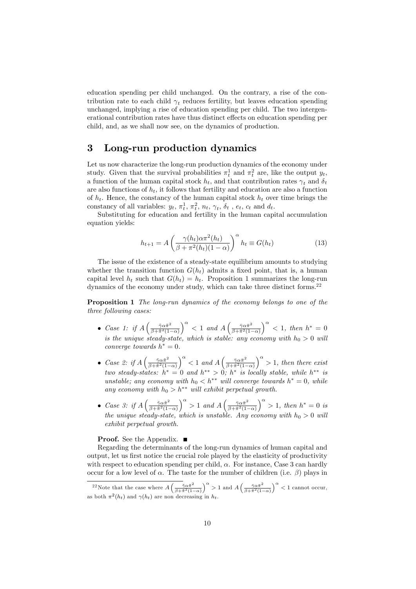education spending per child unchanged. On the contrary, a rise of the contribution rate to each child  $\gamma_t$  reduces fertility, but leaves education spending unchanged, implying a rise of education spending per child. The two intergenerational contribution rates have thus distinct effects on education spending per child, and, as we shall now see, on the dynamics of production.

# 3 Long-run production dynamics

Let us now characterize the long-run production dynamics of the economy under study. Given that the survival probabilities  $\pi_t^1$  and  $\pi_t^2$  are, like the output  $y_t$ , a function of the human capital stock  $h_t$ , and that contribution rates  $\gamma_t$  and  $\delta_t$ are also functions of  $h_t$ , it follows that fertility and education are also a function of  $h_t$ . Hence, the constancy of the human capital stock  $h_t$  over time brings the constancy of all variables:  $y_t$ ,  $\pi_t^1$ ,  $\pi_t^2$ ,  $n_t$ ,  $\gamma_t$ ,  $\delta_t$ ,  $e_t$ ,  $c_t$  and  $d_t$ .

Substituting for education and fertility in the human capital accumulation equation yields:

$$
h_{t+1} = A \left( \frac{\gamma(h_t)\alpha \pi^2(h_t)}{\beta + \pi^2(h_t)(1-\alpha)} \right)^{\alpha} h_t \equiv G(h_t)
$$
\n(13)

The issue of the existence of a steady-state equilibrium amounts to studying whether the transition function  $G(h_t)$  admits a fixed point, that is, a human capital level  $h_t$  such that  $G(h_t) = h_t$ . Proposition 1 summarizes the long-run dynamics of the economy under study, which can take three distinct forms.<sup>22</sup>

Proposition 1 The long-run dynamics of the economy belongs to one of the three following cases:

- Case 1: if  $A\left(\frac{\tilde{\gamma}\alpha\tilde{\pi}^2}{\beta+\tilde{\pi}^2(1-\tilde{\gamma})^2}\right)$  $\overline{\beta+\tilde{\pi}^2(1-\alpha)}$  $\int^{\alpha}$  < 1 and  $A\left(\frac{\bar{\gamma}\alpha\bar{\pi}^2}{\beta+\bar{\pi}^2(1-\bar{\gamma})^2}\right)$  $\sqrt{\beta+\pi^2(1-\alpha)}$  $\int_0^\alpha$  < 1, then  $h^* = 0$ is the unique steady-state, which is stable: any economy with  $h_0 > 0$  will converge towards  $h^* = 0$ .
- Case 2: if  $A\left(\frac{\tilde{\gamma}\alpha\tilde{\pi}^2}{\beta+\tilde{\pi}^2(1-\tilde{\gamma})^2}\right)$  $\overline{\beta+\tilde{\pi}^2(1-\alpha)}$  $\int_{0}^{\alpha}$  < 1 and A  $\left(\frac{\bar{\gamma}\alpha\bar{\pi}^{2}}{3+\bar{\pi}^{2}(1-\bar{\gamma})}\right)$  $\beta + \bar{\pi}^2(1-\alpha)$  $\int_{0}^{\alpha}$  > 1, then there exist two steady-states:  $h^* = 0$  and  $h^{**} > 0$ ;  $h^*$  is locally stable, while  $h^{**}$  is unstable; any economy with  $h_0 < h^{**}$  will converge towards  $h^* = 0$ , while any economy with  $h_0 > h^{**}$  will exhibit perpetual growth.
- Case 3: if  $A\left(\frac{\tilde{\gamma}\alpha\tilde{\pi}^2}{\beta+\tilde{\pi}^2(1-\tilde{\gamma})^2}\right)$  $\overline{\beta+\tilde{\pi}^2(1-\alpha)}$  $\int_{0}^{\alpha}$  > 1 and A  $\left(\frac{\bar{\gamma}\alpha\bar{\pi}^{2}}{3+\bar{\pi}^{2}(1-\bar{\gamma})}\right)$  $\overline{\beta+\bar{\pi}^2(1-\alpha)}$  $\int_0^\alpha$  > 1, then  $h^* = 0$  is the unique steady-state, which is unstable. Any economy with  $h_0 > 0$  will exhibit perpetual growth.

#### **Proof.** See the Appendix. ■

Regarding the determinants of the long-run dynamics of human capital and output, let us first notice the crucial role played by the elasticity of productivity with respect to education spending per child,  $\alpha$ . For instance, Case 3 can hardly occur for a low level of  $\alpha$ . The taste for the number of children (i.e.  $\beta$ ) plays in

<sup>&</sup>lt;sup>22</sup>Note that the case where  $A\left(\frac{\tilde{\gamma}\alpha\tilde{\pi}^2}{\beta+\tilde{\pi}^2(1-\alpha)}\right)$  $\int^{\alpha}$  > 1 and  $A\left(\frac{\bar{\gamma}\alpha\bar{\pi}^{2}}{\beta+\bar{\pi}^{2}(1-\alpha)}\right)$  $\int_0^\alpha$  < 1 cannot occur, as both  $\pi^2(h_t)$  and  $\gamma(h_t)$  are non decreasing in  $h_t$ .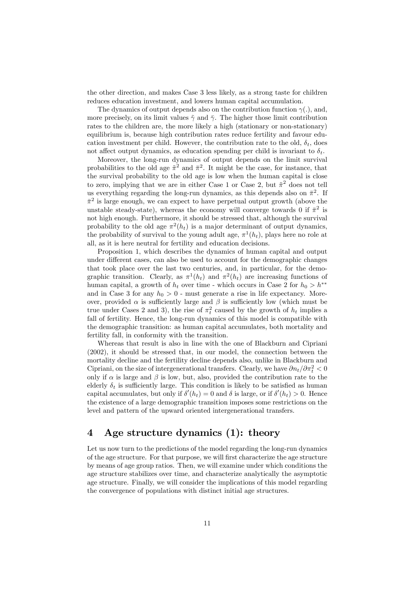the other direction, and makes Case 3 less likely, as a strong taste for children reduces education investment, and lowers human capital accumulation.

The dynamics of output depends also on the contribution function  $\gamma(.)$ , and, more precisely, on its limit values  $\tilde{\gamma}$  and  $\bar{\gamma}$ . The higher those limit contribution rates to the children are, the more likely a high (stationary or non-stationary) equilibrium is, because high contribution rates reduce fertility and favour education investment per child. However, the contribution rate to the old,  $\delta_t$ , does not affect output dynamics, as education spending per child is invariant to  $\delta_t$ .

Moreover, the long-run dynamics of output depends on the limit survival probabilities to the old age  $\tilde{\pi}^2$  and  $\bar{\pi}^2$ . It might be the case, for instance, that the survival probability to the old age is low when the human capital is close to zero, implying that we are in either Case 1 or Case 2, but  $\tilde{\pi}^2$  does not tell us everything regarding the long-run dynamics, as this depends also on  $\bar{\pi}^2$ . If  $\bar{\pi}^2$  is large enough, we can expect to have perpetual output growth (above the unstable steady-state), whereas the economy will converge towards 0 if  $\bar{\pi}^2$  is not high enough. Furthermore, it should be stressed that, although the survival probability to the old age  $\pi^2(h_t)$  is a major determinant of output dynamics, the probability of survival to the young adult age,  $\pi^1(h_t)$ , plays here no role at all, as it is here neutral for fertility and education decisions.

Proposition 1, which describes the dynamics of human capital and output under different cases, can also be used to account for the demographic changes that took place over the last two centuries, and, in particular, for the demographic transition. Clearly, as  $\pi^1(h_t)$  and  $\pi^2(h_t)$  are increasing functions of human capital, a growth of  $h_t$  over time - which occurs in Case 2 for  $h_0 > h^{**}$ and in Case 3 for any  $h_0 > 0$  - must generate a rise in life expectancy. Moreover, provided  $\alpha$  is sufficiently large and  $\beta$  is sufficiently low (which must be true under Cases 2 and 3), the rise of  $\pi_t^2$  caused by the growth of  $h_t$  implies a fall of fertility. Hence, the long-run dynamics of this model is compatible with the demographic transition: as human capital accumulates, both mortality and fertility fall, in conformity with the transition.

Whereas that result is also in line with the one of Blackburn and Cipriani (2002), it should be stressed that, in our model, the connection between the mortality decline and the fertility decline depends also, unlike in Blackburn and Cipriani, on the size of intergenerational transfers. Clearly, we have  $\partial n_t/\partial \pi_t^2 < 0$ only if  $\alpha$  is large and  $\beta$  is low, but, also, provided the contribution rate to the elderly  $\delta_t$  is sufficiently large. This condition is likely to be satisfied as human capital accumulates, but only if  $\delta'(h_t) = 0$  and  $\delta$  is large, or if  $\delta'(h_t) > 0$ . Hence the existence of a large demographic transition imposes some restrictions on the level and pattern of the upward oriented intergenerational transfers.

# 4 Age structure dynamics (1): theory

Let us now turn to the predictions of the model regarding the long-run dynamics of the age structure. For that purpose, we will first characterize the age structure by means of age group ratios. Then, we will examine under which conditions the age structure stabilizes over time, and characterize analytically the asymptotic age structure. Finally, we will consider the implications of this model regarding the convergence of populations with distinct initial age structures.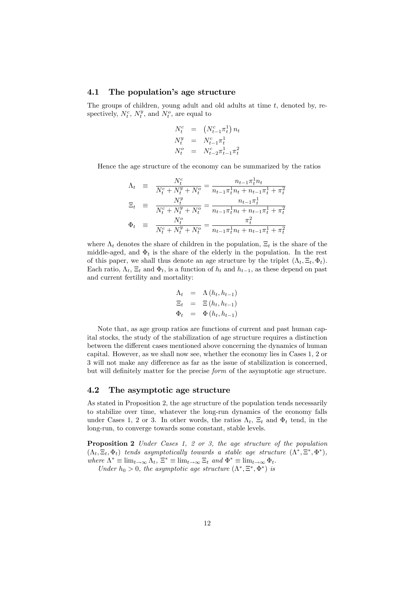#### 4.1 The population's age structure

The groups of children, young adult and old adults at time  $t$ , denoted by, respectively,  $N_t^c$ ,  $N_t^y$ , and  $N_t^o$ , are equal to

$$
\begin{array}{rcl} N_t^c & = & \left(N_{t-1}^c \pi_t^1\right) n_t \\ N_t^y & = & N_{t-1}^c \pi_t^1 \\ N_t^o & = & N_{t-2}^c \pi_{t-1}^1 \pi_t^2 \end{array}
$$

Hence the age structure of the economy can be summarized by the ratios

$$
\Lambda_t = \frac{N_t^c}{N_t^c + N_t^y + N_t^o} = \frac{n_{t-1}\pi_t^1 n_t}{n_{t-1}\pi_t^1 n_t + n_{t-1}\pi_t^1 + \pi_t^2}
$$
\n
$$
\Xi_t = \frac{N_t^y}{N_t^c + N_t^y + N_t^o} = \frac{n_{t-1}\pi_t^1}{n_{t-1}\pi_t^1 n_t + n_{t-1}\pi_t^1 + \pi_t^2}
$$
\n
$$
\Phi_t = \frac{N_t^o}{N_t^c + N_t^y + N_t^o} = \frac{\pi_t^2}{n_{t-1}\pi_t^1 n_t + n_{t-1}\pi_t^1 + \pi_t^2}
$$

where  $\Lambda_t$  denotes the share of children in the population,  $\Xi_t$  is the share of the middle-aged, and  $\Phi_t$  is the share of the elderly in the population. In the rest of this paper, we shall thus denote an age structure by the triplet  $(\Lambda_t, \Xi_t, \Phi_t)$ . Each ratio,  $\Lambda_t$ ,  $\Xi_t$  and  $\Phi_t$ , is a function of  $h_t$  and  $h_{t-1}$ , as these depend on past and current fertility and mortality:

$$
\Lambda_t = \Lambda(h_t, h_{t-1})
$$
  
\n
$$
\Xi_t = \Xi(h_t, h_{t-1})
$$
  
\n
$$
\Phi_t = \Phi(h_t, h_{t-1})
$$

Note that, as age group ratios are functions of current and past human capital stocks, the study of the stabilization of age structure requires a distinction between the different cases mentioned above concerning the dynamics of human capital. However, as we shall now see, whether the economy lies in Cases 1, 2 or 3 will not make any difference as far as the issue of stabilization is concerned, but will definitely matter for the precise form of the asymptotic age structure.

#### 4.2 The asymptotic age structure

As stated in Proposition 2, the age structure of the population tends necessarily to stabilize over time, whatever the long-run dynamics of the economy falls under Cases 1, 2 or 3. In other words, the ratios  $\Lambda_t$ ,  $\Xi_t$  and  $\Phi_t$  tend, in the long-run, to converge towards some constant, stable levels.

Proposition 2 Under Cases 1, 2 or 3, the age structure of the population  $(\Lambda_t, \Xi_t, \Phi_t)$  tends asymptotically towards a stable age structure  $(\Lambda^*, \Xi^*, \Phi^*)$ , where  $\Lambda^* \equiv \lim_{t \to \infty} \Lambda_t$ ,  $\Xi^* \equiv \lim_{t \to \infty} \Xi_t$  and  $\Phi^* \equiv \lim_{t \to \infty} \Phi_t$ . Under  $h_0 > 0$ , the asymptotic age structure  $(\Lambda^*, \Xi^*, \Phi^*)$  is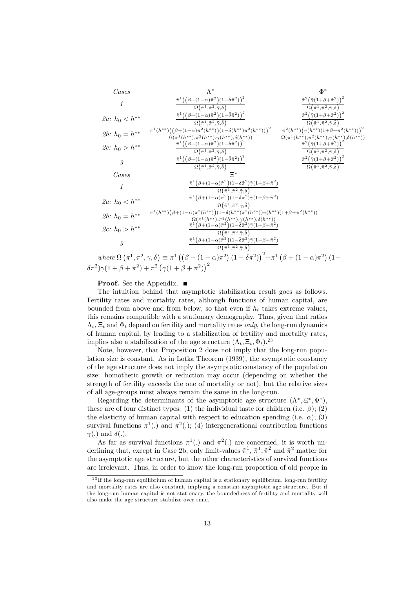Cases  
\n
$$
f \frac{\tilde{\pi}^{1}((\beta + (1 - \alpha)\tilde{\pi}^{2})(1 - \tilde{\delta}\tilde{\pi}^{2}))^{2}}{\Omega(\tilde{\pi}^{1}, \tilde{\pi}^{2}, \tilde{\gamma}, \tilde{\delta})} + 2a: h_{0} < h^{**}
$$
\n
$$
\frac{\tilde{\pi}^{1}((\beta + (1 - \alpha)\tilde{\pi}^{2})(1 - \tilde{\delta}\tilde{\pi}^{2}))^{2}}{\Omega(\tilde{\pi}^{1}, \tilde{\pi}^{2}, \tilde{\gamma}, \tilde{\delta})} + 2b: h_{0} = h^{**}
$$
\n
$$
\frac{\tilde{\pi}^{1}(h^{**})((\beta + (1 - \alpha)\tilde{\pi}^{2})(1 - \tilde{\delta}\tilde{\pi}^{2}))^{2}}{\Omega(\tilde{\pi}^{1}, \tilde{\pi}^{2}, \tilde{\gamma}, \tilde{\delta})} + 2b: h_{0} > h^{**}
$$
\n
$$
\frac{\tilde{\pi}^{1}(h^{**})((\beta + (1 - \alpha)\tilde{\pi}^{2}(h^{**}))(1 - \delta(h^{**})\pi^{2}(h^{**})))^{2}}{\Omega(\pi^{1}, \tilde{\pi}^{2}, \tilde{\gamma}, \tilde{\delta})} + 2b: h_{0} > h^{**}
$$
\n
$$
\frac{\tilde{\pi}^{1}((\beta + (1 - \alpha)\tilde{\pi}^{2})(1 - \tilde{\delta}\tilde{\pi}^{2}))^{2}}{\Omega(\tilde{\pi}^{1}, \tilde{\pi}^{2}, \tilde{\gamma}, \tilde{\delta})} + 2b: h_{0} < h^{**}
$$
\n
$$
\frac{\tilde{\pi}^{1}((\beta + (1 - \alpha)\tilde{\pi}^{2})(1 - \tilde{\delta}\tilde{\pi}^{2}))^{2}}{\Omega(\tilde{\pi}^{1}, \tilde{\pi}^{2}, \tilde{\gamma}, \tilde{\delta})} + 2b: h_{0} < h^{**}
$$
\n
$$
\frac{\tilde{\pi}^{1}((\beta + (1 - \alpha)\tilde{\pi}^{2})(1 - \tilde{\delta}\tilde{\pi}^{2}))^{2}}{\Omega(\tilde{\pi}^{1}, \tilde{\pi}^{2}, \tilde{\gamma}, \tilde{\delta})} + 2b: h_{0} < h^{**}
$$
\n
$$
\frac{\tilde{\pi}^{1}((\beta + (1 - \alpha)\
$$

 $(1 - \delta \pi^2)$  $\beta + (1 - \alpha)\pi$  $(\delta \pi^2) \gamma (1 + \beta + \pi^2) + \pi^2 (\gamma (1 + \beta + \pi^2))^2$ 

#### **Proof.** See the Appendix. ■

The intuition behind that asymptotic stabilization result goes as follows. Fertility rates and mortality rates, although functions of human capital, are bounded from above and from below, so that even if  $h_t$  takes extreme values, this remains compatible with a stationary demography. Thus, given that ratios  $\Lambda_t$ ,  $\Xi_t$  and  $\Phi_t$  depend on fertility and mortality rates *only*, the long-run dynamics of human capital, by leading to a stabilization of fertility and mortality rates, implies also a stabilization of the age structure  $(\Lambda_t, \Xi_t, \Phi_t)$ .<sup>23</sup>

Note, however, that Proposition 2 does not imply that the long-run population size is constant. As in Lotka Theorem (1939), the asymptotic constancy of the age structure does not imply the asymptotic constancy of the population size: homothetic growth or reduction may occur (depending on whether the strength of fertility exceeds the one of mortality or not), but the relative sizes of all age-groups must always remain the same in the long-run.

Regarding the determinants of the asymptotic age structure  $(\Lambda^*, \Xi^*, \Phi^*)$ , these are of four distinct types: (1) the individual taste for children (i.e.  $\beta$ ); (2) the elasticity of human capital with respect to education spending (i.e.  $\alpha$ ); (3) survival functions  $\pi^1(.)$  and  $\pi^2(.)$ ; (4) intergenerational contribution functions  $\gamma(.)$  and  $\delta(.)$ .

As far as survival functions  $\pi^1(.)$  and  $\pi^2(.)$  are concerned, it is worth underlining that, except in Case 2b, only limit-values  $\tilde{\pi}^1$ ,  $\bar{\pi}^1$ ,  $\tilde{\pi}^2$  and  $\bar{\pi}^2$  matter for the asymptotic age structure, but the other characteristics of survival functions are irrelevant. Thus, in order to know the long-run proportion of old people in

 $23$  If the long-run equilibrium of human capital is a stationary equilibrium, long-run fertility and mortality rates are also constant, implying a constant asymptotic age structure. But if the long-run human capital is not stationary, the boundedness of fertility and mortality will also make the age structure stabilize over time.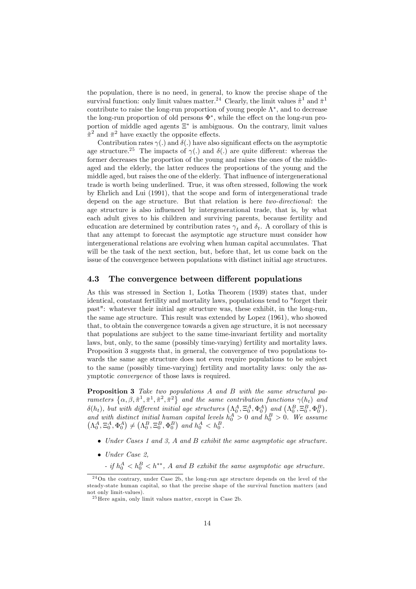the population, there is no need, in general, to know the precise shape of the survival function: only limit values matter.<sup>24</sup> Clearly, the limit values  $\tilde{\pi}^1$  and  $\bar{\pi}^1$ contribute to raise the long-run proportion of young people  $\Lambda^*$ , and to decrease the long-run proportion of old persons  $\Phi^*$ , while the effect on the long-run proportion of middle aged agents  $\Xi^*$  is ambiguous. On the contrary, limit values  $\tilde{\pi}^2$  and  $\bar{\pi}^2$  have exactly the opposite effects.

Contribution rates  $\gamma(.)$  and  $\delta(.)$  have also significant effects on the asymptotic age structure.<sup>25</sup> The impacts of  $\gamma(.)$  and  $\delta(.)$  are quite different: whereas the former decreases the proportion of the young and raises the ones of the middleaged and the elderly, the latter reduces the proportions of the young and the middle aged, but raises the one of the elderly. That influence of intergenerational trade is worth being underlined. True, it was often stressed, following the work by Ehrlich and Lui (1991), that the scope and form of intergenerational trade depend on the age structure. But that relation is here two-directional: the age structure is also influenced by intergenerational trade, that is, by what each adult gives to his children and surviving parents, because fertility and education are determined by contribution rates  $\gamma_t$  and  $\delta_t$ . A corollary of this is that any attempt to forecast the asymptotic age structure must consider how intergenerational relations are evolving when human capital accumulates. That will be the task of the next section, but, before that, let us come back on the issue of the convergence between populations with distinct initial age structures.

#### 4.3 The convergence between different populations

As this was stressed in Section 1, Lotka Theorem (1939) states that, under identical, constant fertility and mortality laws, populations tend to "forget their past": whatever their initial age structure was, these exhibit, in the long-run, the same age structure. This result was extended by Lopez (1961), who showed that, to obtain the convergence towards a given age structure, it is not necessary that populations are subject to the same time-invariant fertility and mortality laws, but, only, to the same (possibly time-varying) fertility and mortality laws. Proposition 3 suggests that, in general, the convergence of two populations towards the same age structure does not even require populations to be subject to the same (possibly time-varying) fertility and mortality laws: only the asymptotic convergence of those laws is required.

Proposition 3 Take two populations A and B with the same structural parameters  $\{\alpha, \beta, \tilde{\pi}^1, \tilde{\pi}^2, \tilde{\pi}^2\}$  and the same contribution functions  $\gamma(h_t)$  and  $\delta(h_t)$ , but with different initial age structures  $(\Lambda_0^A, \Xi_0^A, \Phi_0^A)$  and  $(\Lambda_0^B, \Xi_0^B, \Phi_0^B)$ ,  $\left( \Delta_{0}^{A}, \Xi_{0}^{A}, \Phi_{0}^{A} \right) \neq \left( \Delta_{0}^{B}, \Xi_{0}^{B}, \Phi_{0}^{B} \right)$  and  $h_{0}^{A} < h_{0}^{B} > 0$  and  $h_{0}^{B} > 0$ . We assume  $\left( \Delta_{0}^{A}, \Xi_{0}^{A}, \Phi_{0}^{A} \right) \neq \left( \Delta_{0}^{B}, \Xi_{0}^{B}, \Phi_{0}^{B} \right)$  and  $h_{0}^{A} < h_{0}^{B}$ .

- Under Cases 1 and 3, A and B exhibit the same asymptotic age structure.
- $\bullet$  Under Case 2,
	- if  $h_0^A < h_0^B < h^{**}$ , A and B exhibit the same asymptotic age structure.

 $^{24}$ On the contrary, under Case 2b, the long-run age structure depends on the level of the steady-state human capital, so that the precise shape of the survival function matters (and not only limit-values).

 $^{25}$ Here again, only limit values matter, except in Case 2b.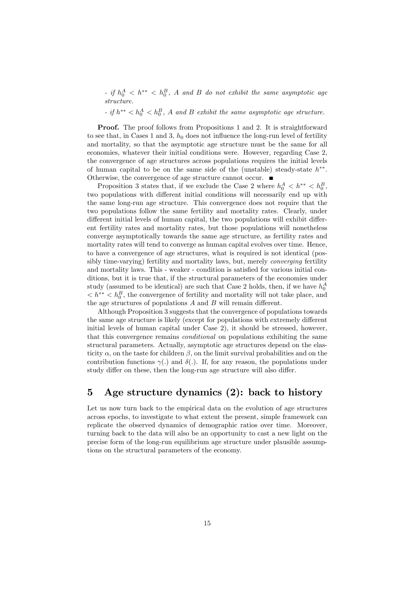- if  $h_0^A < h^{**} < h_0^B$ , A and B do not exhibit the same asymptotic age structure.

- if  $h^{**} < h_0^A < h_0^B$ , A and B exhibit the same asymptotic age structure.

Proof. The proof follows from Propositions 1 and 2. It is straightforward to see that, in Cases 1 and 3,  $h_0$  does not influence the long-run level of fertility and mortality, so that the asymptotic age structure must be the same for all economies, whatever their initial conditions were. However, regarding Case 2, the convergence of age structures across populations requires the initial levels of human capital to be on the same side of the (unstable) steady-state  $h^{**}$ . Otherwise, the convergence of age structure cannot occur.

Proposition 3 states that, if we exclude the Case 2 where  $h_0^A < h^{**} < h_0^B$ , two populations with different initial conditions will necessarily end up with the same long-run age structure. This convergence does not require that the two populations follow the same fertility and mortality rates. Clearly, under different initial levels of human capital, the two populations will exhibit different fertility rates and mortality rates, but those populations will nonetheless converge asymptotically towards the same age structure, as fertility rates and mortality rates will tend to converge as human capital evolves over time. Hence, to have a convergence of age structures, what is required is not identical (possibly time-varying) fertility and mortality laws, but, merely *converging* fertility and mortality laws. This - weaker - condition is satisfied for various initial conditions, but it is true that, if the structural parameters of the economies under study (assumed to be identical) are such that Case 2 holds, then, if we have  $h_0^A$  $\langle h^{**} \rangle h_0^B$ , the convergence of fertility and mortality will not take place, and the age structures of populations  $A$  and  $B$  will remain different.

Although Proposition 3 suggests that the convergence of populations towards the same age structure is likely (except for populations with extremely different initial levels of human capital under Case 2), it should be stressed, however, that this convergence remains *conditional* on populations exhibiting the same structural parameters. Actually, asymptotic age structures depend on the elasticity  $\alpha$ , on the taste for children  $\beta$ , on the limit survival probabilities and on the contribution functions  $\gamma(.)$  and  $\delta(.)$ . If, for any reason, the populations under study differ on these, then the long-run age structure will also differ.

# 5 Age structure dynamics (2): back to history

Let us now turn back to the empirical data on the evolution of age structures across epochs, to investigate to what extent the present, simple framework can replicate the observed dynamics of demographic ratios over time. Moreover, turning back to the data will also be an opportunity to cast a new light on the precise form of the long-run equilibrium age structure under plausible assumptions on the structural parameters of the economy.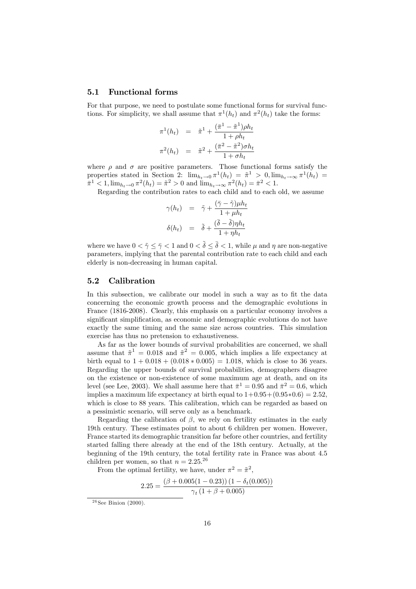#### 5.1 Functional forms

For that purpose, we need to postulate some functional forms for survival functions. For simplicity, we shall assume that  $\pi^1(h_t)$  and  $\pi^2(h_t)$  take the forms:

$$
\pi^{1}(h_{t}) = \tilde{\pi}^{1} + \frac{(\bar{\pi}^{1} - \tilde{\pi}^{1})\rho h_{t}}{1 + \rho h_{t}}
$$

$$
\pi^{2}(h_{t}) = \tilde{\pi}^{2} + \frac{(\bar{\pi}^{2} - \tilde{\pi}^{2})\sigma h_{t}}{1 + \sigma h_{t}}
$$

where  $\rho$  and  $\sigma$  are positive parameters. Those functional forms satisfy the properties stated in Section 2:  $\lim_{h_t \to 0} \pi^1(h_t) = \tilde{\pi}^1 > 0, \lim_{h_t \to \infty} \pi^1(h_t) =$  $\bar{\pi}^1 \leq 1, \lim_{h_t \to 0} \pi^2(h_t) = \tilde{\pi}^2 > 0$  and  $\lim_{h_t \to \infty} \pi^2(h_t) = \bar{\pi}^2 < 1.$ 

Regarding the contribution rates to each child and to each old, we assume

$$
\gamma(h_t) = \tilde{\gamma} + \frac{(\bar{\gamma} - \tilde{\gamma})\mu h_t}{1 + \mu h_t}
$$

$$
\delta(h_t) = \tilde{\delta} + \frac{(\bar{\delta} - \tilde{\delta})\eta h_t}{1 + \eta h_t}
$$

where we have  $0 < \tilde{\gamma} \leq \bar{\gamma} < 1$  and  $0 < \tilde{\delta} \leq \bar{\delta} < 1$ , while  $\mu$  and  $\eta$  are non-negative parameters, implying that the parental contribution rate to each child and each elderly is non-decreasing in human capital.

### 5.2 Calibration

In this subsection, we calibrate our model in such a way as to fit the data concerning the economic growth process and the demographic evolutions in France (1816-2008). Clearly, this emphasis on a particular economy involves a significant simplification, as economic and demographic evolutions do not have exactly the same timing and the same size across countries. This simulation exercise has thus no pretension to exhaustiveness.

As far as the lower bounds of survival probabilities are concerned, we shall assume that  $\tilde{\pi}^1 = 0.018$  and  $\tilde{\pi}^2 = 0.005$ , which implies a life expectancy at birth equal to  $1 + 0.018 + (0.018 * 0.005) = 1.018$ , which is close to 36 years. Regarding the upper bounds of survival probabilities, demographers disagree on the existence or non-existence of some maximum age at death, and on its level (see Lee, 2003). We shall assume here that  $\bar{\pi}^1 = 0.95$  and  $\bar{\pi}^2 = 0.6$ , which implies a maximum life expectancy at birth equal to  $1+0.95+(0.95*0.6) = 2.52$ . which is close to 88 years. This calibration, which can be regarded as based on a pessimistic scenario, will serve only as a benchmark.

Regarding the calibration of  $\beta$ , we rely on fertility estimates in the early 19th century. These estimates point to about 6 children per women. However, France started its demographic transition far before other countries, and fertility started falling there already at the end of the 18th century. Actually, at the beginning of the 19th century, the total fertility rate in France was about 4.5 children per women, so that  $n = 2.25$ <sup>26</sup>

From the optimal fertility, we have, under  $\pi^2 = \tilde{\pi}^2$ ,

$$
2.25 = \frac{(\beta + 0.005(1 - 0.23))(1 - \delta_t(0.005))}{\gamma_t(1 + \beta + 0.005)}
$$

 $26$  See Binion (2000).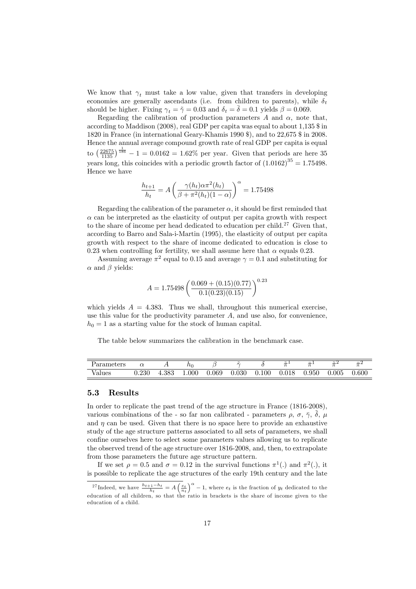We know that  $\gamma_t$  must take a low value, given that transfers in developing economies are generally ascendants (i.e. from children to parents), while  $\delta_t$ should be higher. Fixing  $\gamma_t = \tilde{\gamma} = 0.03$  and  $\delta_t = \bar{\delta} = 0.1$  yields  $\beta = 0.069$ .

Regarding the calibration of production parameters  $A$  and  $\alpha$ , note that, according to Maddison (2008), real GDP per capita was equal to about 1,135 \$ in 1820 in France (in international Geary-Khamis 1990 \$), and to 22,675 \$ in 2008. Hence the annual average compound growth rate of real GDP per capita is equal to  $\left(\frac{22675}{1135}\right)^{\frac{1}{186}} - 1 = 0.0162 = 1.62\%$  per year. Given that periods are here 35 years long, this coincides with a periodic growth factor of  $(1.0162)^{35} = 1.75498$ . Hence we have

$$
\frac{h_{t+1}}{h_t} = A \left( \frac{\gamma(h_t)\alpha \pi^2(h_t)}{\beta + \pi^2(h_t)(1-\alpha)} \right)^{\alpha} = 1.75498
$$

Regarding the calibration of the parameter  $\alpha$ , it should be first reminded that  $\alpha$  can be interpreted as the elasticity of output per capita growth with respect to the share of income per head dedicated to education per child.<sup>27</sup> Given that, according to Barro and Sala-i-Martin (1995), the elasticity of output per capita growth with respect to the share of income dedicated to education is close to 0.23 when controlling for fertility, we shall assume here that  $\alpha$  equals 0.23.

Assuming average  $\pi^2$  equal to 0.15 and average  $\gamma = 0.1$  and substituting for  $\alpha$  and  $\beta$  yields:

$$
A = 1.75498 \left( \frac{0.069 + (0.15)(0.77)}{0.1(0.23)(0.15)} \right)^{0.23}
$$

which yields  $A = 4.383$ . Thus we shall, throughout this numerical exercise, use this value for the productivity parameter  $A$ , and use also, for convenience,  $h_0 = 1$  as a starting value for the stock of human capital.

The table below summarizes the calibration in the benchmark case.

| Parameters |           |       | ıιn       |       | $\sim$ |       | $\sim$<br>_ | $-$<br>- | $\tilde{}$ | $-$<br>$-$ |
|------------|-----------|-------|-----------|-------|--------|-------|-------------|----------|------------|------------|
| Values     | ${0.230}$ | 4.383 | $1.000\,$ | J.069 | 0.030  | 0.100 | 0.018       | 0.950    | 0.005      | 0.600      |

### 5.3 Results

In order to replicate the past trend of the age structure in France (1816-2008), various combinations of the - so far non calibrated - parameters  $\rho$ ,  $\sigma$ ,  $\bar{\gamma}$ ,  $\tilde{\delta}$ ,  $\mu$ and  $\eta$  can be used. Given that there is no space here to provide an exhaustive study of the age structure patterns associated to all sets of parameters, we shall confine ourselves here to select some parameters values allowing us to replicate the observed trend of the age structure over 1816-2008, and, then, to extrapolate from those parameters the future age structure pattern.

If we set  $\rho = 0.5$  and  $\sigma = 0.12$  in the survival functions  $\pi^1(.)$  and  $\pi^2(.)$ , it is possible to replicate the age structures of the early 19th century and the late

<sup>&</sup>lt;sup>27</sup>Indeed, we have  $\frac{h_{t+1}-h_t}{h_t} = A\left(\frac{e_t}{n_t}\right)^{\alpha} - 1$ , where  $e_t$  is the fraction of  $y_t$  dedicated to the education of all children, so that the ratio in brackets is the share of income given to the education of a child.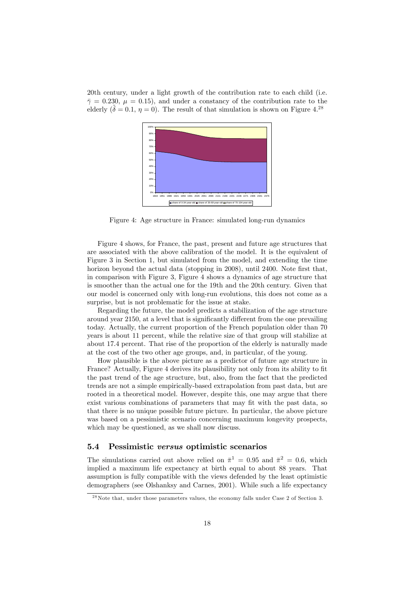20th century, under a light growth of the contribution rate to each child (i.e.  $\bar{\gamma} = 0.230, \ \mu = 0.15$ , and under a constancy of the contribution rate to the elderly  $(\delta = 0.1, \eta = 0)$ . The result of that simulation is shown on Figure 4.<sup>28</sup>



Figure 4: Age structure in France: simulated long-run dynamics

Figure 4 shows, for France, the past, present and future age structures that are associated with the above calibration of the model. It is the equivalent of Figure 3 in Section 1, but simulated from the model, and extending the time horizon beyond the actual data (stopping in 2008), until 2400. Note first that, in comparison with Figure 3, Figure 4 shows a dynamics of age structure that is smoother than the actual one for the 19th and the 20th century. Given that our model is concerned only with long-run evolutions, this does not come as a surprise, but is not problematic for the issue at stake.

Regarding the future, the model predicts a stabilization of the age structure around year 2150, at a level that is significantly different from the one prevailing today. Actually, the current proportion of the French population older than 70 years is about 11 percent, while the relative size of that group will stabilize at about 17.4 percent. That rise of the proportion of the elderly is naturally made at the cost of the two other age groups, and, in particular, of the young.

How plausible is the above picture as a predictor of future age structure in France? Actually, Figure 4 derives its plausibility not only from its ability to fit the past trend of the age structure, but, also, from the fact that the predicted trends are not a simple empirically-based extrapolation from past data, but are rooted in a theoretical model. However, despite this, one may argue that there exist various combinations of parameters that may fit with the past data, so that there is no unique possible future picture. In particular, the above picture was based on a pessimistic scenario concerning maximum longevity prospects, which may be questioned, as we shall now discuss.

#### 5.4 Pessimistic versus optimistic scenarios

The simulations carried out above relied on  $\bar{\pi}^1 = 0.95$  and  $\bar{\pi}^2 = 0.6$ , which implied a maximum life expectancy at birth equal to about 88 years. That assumption is fully compatible with the views defended by the least optimistic demographers (see Olshanksy and Carnes, 2001). While such a life expectancy

 $28$ Note that, under those parameters values, the economy falls under Case 2 of Section 3.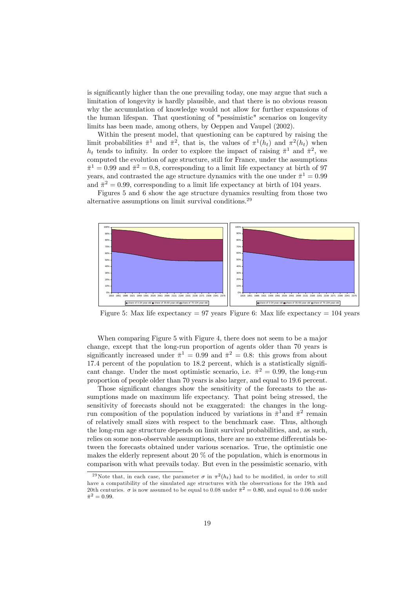is significantly higher than the one prevailing today, one may argue that such a limitation of longevity is hardly plausible, and that there is no obvious reason why the accumulation of knowledge would not allow for further expansions of the human lifespan. That questioning of "pessimistic" scenarios on longevity limits has been made, among others, by Oeppen and Vaupel (2002).

Within the present model, that questioning can be captured by raising the limit probabilities  $\bar{\pi}^1$  and  $\bar{\pi}^2$ , that is, the values of  $\pi^1(h_t)$  and  $\pi^2(h_t)$  when  $h_t$  tends to infinity. In order to explore the impact of raising  $\bar{\pi}^1$  and  $\bar{\pi}^2$ , we computed the evolution of age structure, still for France, under the assumptions  $\bar{\pi}^1 = 0.99$  and  $\bar{\pi}^2 = 0.8$ , corresponding to a limit life expectancy at birth of 97 years, and contrasted the age structure dynamics with the one under  $\bar{\pi}^1 = 0.99$ and  $\bar{\pi}^2 = 0.99$ , corresponding to a limit life expectancy at birth of 104 years.

Figures 5 and 6 show the age structure dynamics resulting from those two alternative assumptions on limit survival conditions.<sup>29</sup>



Figure 5: Max life expectancy  $= 97$  years Figure 6: Max life expectancy  $= 104$  years

When comparing Figure 5 with Figure 4, there does not seem to be a major change, except that the long-run proportion of agents older than 70 years is significantly increased under  $\bar{\pi}^1 = 0.99$  and  $\bar{\pi}^2 = 0.8$ : this grows from about  $17.4$  percent of the population to  $18.2$  percent, which is a statistically significant change. Under the most optimistic scenario, i.e.  $\bar{\pi}^2 = 0.99$ , the long-run proportion of people older than 70 years is also larger, and equal to 19.6 percent.

Those significant changes show the sensitivity of the forecasts to the assumptions made on maximum life expectancy. That point being stressed, the sensitivity of forecasts should not be exaggerated: the changes in the longrun composition of the population induced by variations in  $\bar{\pi}^1$  and  $\bar{\pi}^2$  remain of relatively small sizes with respect to the benchmark case. Thus, although the long-run age structure depends on limit survival probabilities, and, as such, relies on some non-observable assumptions, there are no extreme differentials between the forecasts obtained under various scenarios. True, the optimistic one makes the elderly represent about 20 % of the population, which is enormous in comparison with what prevails today. But even in the pessimistic scenario, with

<sup>&</sup>lt;sup>29</sup>Note that, in each case, the parameter  $\sigma$  in  $\pi^2(h_t)$  had to be modified, in order to still have a compatibility of the simulated age structures with the observations for the 19th and 20th centuries.  $\sigma$  is now assumed to be equal to 0.08 under  $\bar{\pi}^2 = 0.80$ , and equal to 0.06 under  $\bar{\pi}^2 = 0.99.$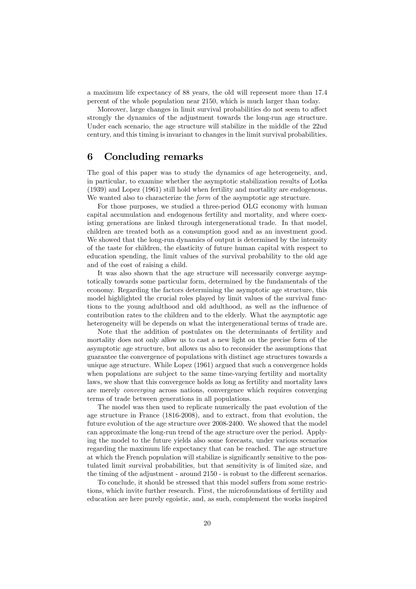a maximum life expectancy of 88 years, the old will represent more than 17.4 percent of the whole population near 2150, which is much larger than today.

Moreover, large changes in limit survival probabilities do not seem to affect strongly the dynamics of the adjustment towards the long-run age structure. Under each scenario, the age structure will stabilize in the middle of the 22nd century, and this timing is invariant to changes in the limit survival probabilities.

# 6 Concluding remarks

The goal of this paper was to study the dynamics of age heterogeneity, and, in particular, to examine whether the asymptotic stabilization results of Lotka (1939) and Lopez (1961) still hold when fertility and mortality are endogenous. We wanted also to characterize the *form* of the asymptotic age structure.

For those purposes, we studied a three-period OLG economy with human capital accumulation and endogenous fertility and mortality, and where coexisting generations are linked through intergenerational trade. In that model, children are treated both as a consumption good and as an investment good. We showed that the long-run dynamics of output is determined by the intensity of the taste for children, the elasticity of future human capital with respect to education spending, the limit values of the survival probability to the old age and of the cost of raising a child.

It was also shown that the age structure will necessarily converge asymptotically towards some particular form, determined by the fundamentals of the economy. Regarding the factors determining the asymptotic age structure, this model highlighted the crucial roles played by limit values of the survival functions to the young adulthood and old adulthood, as well as the influence of contribution rates to the children and to the elderly. What the asymptotic age heterogeneity will be depends on what the intergenerational terms of trade are.

Note that the addition of postulates on the determinants of fertility and mortality does not only allow us to cast a new light on the precise form of the asymptotic age structure, but allows us also to reconsider the assumptions that guarantee the convergence of populations with distinct age structures towards a unique age structure. While Lopez (1961) argued that such a convergence holds when populations are subject to the same time-varying fertility and mortality laws, we show that this convergence holds as long as fertility and mortality laws are merely converging across nations, convergence which requires converging terms of trade between generations in all populations.

The model was then used to replicate numerically the past evolution of the age structure in France (1816-2008), and to extract, from that evolution, the future evolution of the age structure over 2008-2400. We showed that the model can approximate the long-run trend of the age structure over the period. Applying the model to the future yields also some forecasts, under various scenarios regarding the maximum life expectancy that can be reached. The age structure at which the French population will stabilize is significantly sensitive to the postulated limit survival probabilities, but that sensitivity is of limited size, and the timing of the adjustment - around 2150 - is robust to the different scenarios.

To conclude, it should be stressed that this model suffers from some restrictions, which invite further research. First, the microfoundations of fertility and education are here purely egoistic, and, as such, complement the works inspired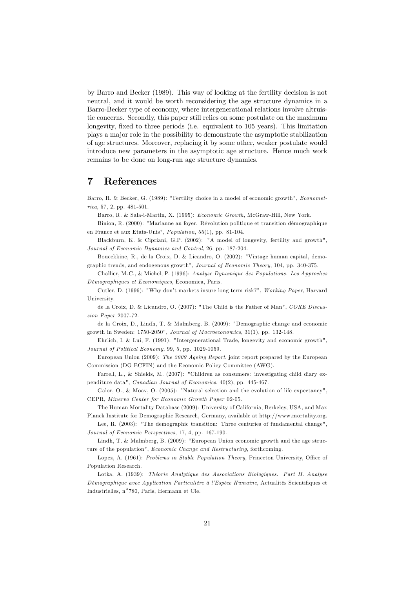by Barro and Becker (1989). This way of looking at the fertility decision is not neutral, and it would be worth reconsidering the age structure dynamics in a Barro-Becker type of economy, where intergenerational relations involve altruistic concerns. Secondly, this paper still relies on some postulate on the maximum longevity, fixed to three periods (i.e. equivalent to 105 years). This limitation plays a major role in the possibility to demonstrate the asymptotic stabilization of age structures. Moreover, replacing it by some other, weaker postulate would introduce new parameters in the asymptotic age structure. Hence much work remains to be done on long-run age structure dynamics.

# 7 References

Barro, R. & Becker, G. (1989): "Fertility choice in a model of economic growth", Econometrica, 57, 2, pp. 481-501.

Barro, R. & Sala-i-Martin, X. (1995): Economic Growth, McGraw-Hill, New York.

Binion, R. (2000): "Marianne au foyer. Révolution politique et transition démographique en France et aux Etats-Unis", Population, 55(1), pp. 81-104.

Blackburn, K. & Cipriani, G.P. (2002): "A model of longevity, fertility and growth", Journal of Economic Dynamics and Control, 26, pp. 187-204.

Boucekkine, R., de la Croix, D. & Licandro, O. (2002): "Vintage human capital, demographic trends, and endogenous growth", Journal of Economic Theory, 104, pp. 340-375.

Challier, M-C., & Michel, P. (1996): Analyse Dynamique des Populations. Les Approches DÈmographiques et Economiques, Economica, Paris.

Cutler, D. (1996): "Why donít markets insure long term risk?", Working Paper, Harvard University.

de la Croix, D. & Licandro, O. (2007): "The Child is the Father of Man", CORE Discussion Paper 2007-72.

de la Croix, D., Lindh, T. & Malmberg, B. (2009): "Demographic change and economic growth in Sweden: 1750-2050", Journal of Macroeconomics, 31(1), pp. 132-148.

Ehrlich, I. & Lui, F. (1991): "Intergenerational Trade, longevity and economic growth", Journal of Political Economy, 99, 5, pp. 1029-1059.

European Union (2009): The 2009 Ageing Report, joint report prepared by the European Commission (DG ECFIN) and the Economic Policy Committee (AWG).

Farrell, L., & Shields, M. (2007): "Children as consumers: investigating child diary expenditure data", Canadian Journal of Economics, 40(2), pp. 445-467.

Galor, O., & Moav, O. (2005): "Natural selection and the evolution of life expectancy", CEPR, Minerva Center for Economic Growth Paper 02-05.

The Human Mortality Database (2009): University of California, Berkeley, USA, and Max Planck Institute for Demographic Research, Germany, available at http://www.mortality.org.

Lee, R. (2003): "The demographic transition: Three centuries of fundamental change", Journal of Economic Perspectives, 17, 4, pp. 167-190.

Lindh, T. & Malmberg, B. (2009): "European Union economic growth and the age structure of the population", *Economic Change and Restructuring*, forthcoming.

Lopez, A. (1961): Problems in Stable Population Theory, Princeton University, Office of Population Research.

Lotka, A. (1939): Théorie Analytique des Associations Biologiques. Part II. Analyse Démographique avec Application Particulière à l'Espèce Humaine, Actualités Scientifiques et Industrielles, n 780, Paris, Hermann et Cie.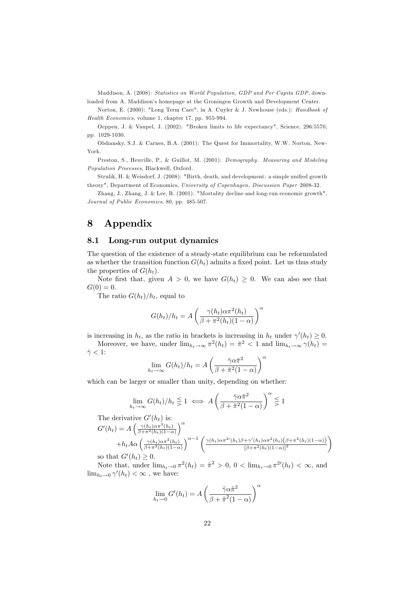Maddison, A. (2008): Statistics on World Population, GDP and Per Capita GDP, downloaded from A. Maddison's homepage at the Groningen Growth and Development Center.

Norton, E. (2000): "Long Term Care", in A. Cuyler & J. Newhouse (eds.): Handbook of Health Economics, volume 1, chapter 17, pp. 955-994.

Oeppen, J. & Vaupel, J. (2002): "Broken limits to life expectancy", Science, 296:5570, pp. 1029-1030.

Olshansky, S.J. & Carnes, B.A. (2001): The Quest for Immortality, W.W. Norton, New-York.

Preston, S., Heuville, P., & Guillot, M. (2001): Demography. Measuring and Modeling Population Processes, Blackwell, Oxford.

Strulik, H. & Weisdorf, J. (2008): "Birth, death, and development: a simple unified growth theory", Department of Economics, University of Copenhagen, Discussion Paper 2008-32.

Zhang, J., Zhang, J. & Lee, R. (2001): "Mortality decline and long-run economic growth", Journal of Public Economics, 80, pp. 485-507.

# 8 Appendix

### 8.1 Long-run output dynamics

The question of the existence of a steady-state equilibrium can be reformulated as whether the transition function  $G(h_t)$  admits a fixed point. Let us thus study the properties of  $G(h_t)$ .

Note first that, given  $A > 0$ , we have  $G(h_t) \geq 0$ . We can also see that  $G(0) = 0.$ 

The ratio  $G(h_t)/h_t$ , equal to

$$
G(h_t)/h_t = A\left(\frac{\gamma(h_t)\alpha \pi^2(h_t)}{\beta + \pi^2(h_t)(1-\alpha)}\right)^{\alpha}
$$

is increasing in  $h_t$ , as the ratio in brackets is increasing in  $h_t$  under  $\gamma'(h_t) \geq 0$ .

Moreover, we have, under  $\lim_{h_t \to \infty} \pi^2(h_t) = \bar{\pi}^2 < 1$  and  $\lim_{h_t \to \infty} \gamma(h_t) =$  $\bar{\gamma}$  < 1:  $\alpha$ 

$$
\lim_{h_t \to \infty} G(h_t)/h_t = A\left(\frac{\bar{\gamma}\alpha \bar{\pi}^2}{\beta + \bar{\pi}^2(1-\alpha)}\right)
$$

which can be larger or smaller than unity, depending on whether:

$$
\lim_{h_t \to \infty} G(h_t)/h_t \leq 1 \iff A\left(\frac{\bar{\gamma}\alpha \bar{\pi}^2}{\beta + \bar{\pi}^2(1-\alpha)}\right)^{\alpha} \leq 1
$$

The derivative 
$$
G'(h_t)
$$
 is:  
\n
$$
G'(h_t) = A \left( \frac{\gamma(h_t) \alpha \pi^2(h_t)}{\beta + \pi^2(h_t)(1 - \alpha)} \right)^{\alpha} + h_t A \alpha \left( \frac{\gamma(h_t) \alpha \pi^2(h_t)}{\beta + \pi^2(h_t)(1 - \alpha)} \right)^{\alpha - 1} \left( \frac{\gamma(h_t) \alpha \pi^{2'}(h_t) \beta + \gamma'(h_t) \alpha \pi^2(h_t) (\beta + \pi^2(h_t)(1 - \alpha))}{[\beta + \pi^2(h_t)(1 - \alpha)]^2} \right)
$$
\nso that  $G'(h_t) \geq 0$ .

Note that, under  $\lim_{h_t \to 0} \pi^2(h_t) = \tilde{\pi}^2 > 0$ ,  $0 < \lim_{h_t \to 0} \pi^2(h_t) < \infty$ , and  $\lim_{h_t \to 0} \gamma'(h_t) < \infty$ , we have:

$$
\lim_{h_t \to 0} G'(h_t) = A \left( \frac{\tilde{\gamma} \alpha \tilde{\pi}^2}{\beta + \tilde{\pi}^2 (1 - \alpha)} \right)^{\alpha}
$$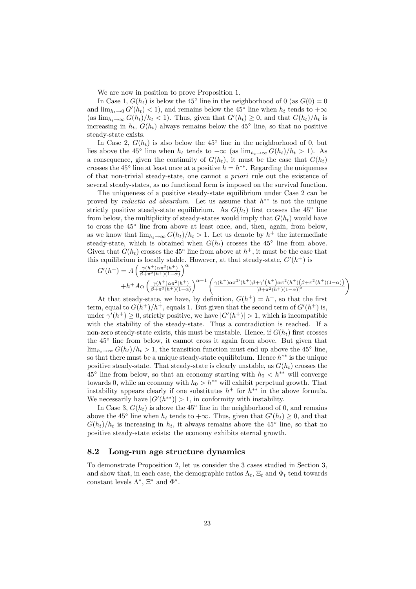We are now in position to prove Proposition 1.

In Case 1,  $G(h_t)$  is below the 45<sup>°</sup> line in the neighborhood of 0 (as  $G(0) = 0$ and  $\lim_{h_t \to 0} G'(h_t) < 1$ , and remains below the 45<sup>°</sup> line when  $h_t$  tends to  $+\infty$ (as  $\lim_{h_t \to \infty} G(h_t)/h_t < 1$ ). Thus, given that  $G'(h_t) \geq 0$ , and that  $G(h_t)/h_t$  is increasing in  $h_t$ ,  $G(h_t)$  always remains below the 45<sup>°</sup> line, so that no positive steady-state exists.

In Case 2,  $G(h_t)$  is also below the 45<sup>°</sup> line in the neighborhood of 0, but lies above the 45<sup>°</sup> line when  $h_t$  tends to  $+\infty$  (as  $\lim_{h_t \to \infty} G(h_t)/h_t > 1$ ). As a consequence, given the continuity of  $G(h_t)$ , it must be the case that  $G(h_t)$ crosses the 45<sup>°</sup> line at least once at a positive  $h = h^{**}$ . Regarding the uniqueness of that non-trivial steady-state, one cannot a priori rule out the existence of several steady-states, as no functional form is imposed on the survival function.

The uniqueness of a positive steady-state equilibrium under Case 2 can be proved by *reductio ad absurdum*. Let us assume that  $h^{**}$  is not the unique strictly positive steady-state equilibrium. As  $G(h_t)$  first crosses the 45<sup>°</sup> line from below, the multiplicity of steady-states would imply that  $G(h_t)$  would have to cross the 45 line from above at least once, and, then, again, from below, as we know that  $\lim_{h_t \to \infty} G(h_t)/h_t > 1$ . Let us denote by  $h^+$  the intermediate steady-state, which is obtained when  $G(h_t)$  crosses the 45<sup>°</sup> line from above. Given that  $G(h_t)$  crosses the 45<sup>°</sup> line from above at  $h^+$ , it must be the case that this equilibrium is locally stable. However, at that steady-state,  $G'(h^+)$  is

$$
G'(h^+) = A\left(\frac{\gamma(h^+)\alpha\pi^2(h^+)}{\beta+\pi^2(h^+)(1-\alpha)}\right)^{\alpha} + h^+A\alpha\left(\frac{\gamma(h^+)\alpha\pi^2(h^+)}{\beta+\pi^2(h^+)(1-\alpha)}\right)^{\alpha-1}\left(\frac{\gamma(h^+)\alpha\pi^{2\prime}(h^+)\beta+\gamma'(h^+)\alpha\pi^2(h^+)(\beta+\pi^2(h^+)(1-\alpha))}{[\beta+\pi^2(h^+)(1-\alpha)]^2}\right)
$$

At that steady-state, we have, by definition,  $G(h^+) = h^+$ , so that the first term, equal to  $G(h^+)/h^+$ , equals 1. But given that the second term of  $G'(h^+)$  is, under  $\gamma'(h^+) \geq 0$ , strictly positive, we have  $|G'(h^+)| > 1$ , which is incompatible with the stability of the steady-state. Thus a contradiction is reached. If a non-zero steady-state exists, this must be unstable. Hence, if  $G(h_t)$  first crosses the 45 line from below, it cannot cross it again from above. But given that  $\lim_{h_t \to \infty} G(h_t)/h_t > 1$ , the transition function must end up above the 45<sup>°</sup> line, so that there must be a unique steady-state equilibrium. Hence  $h^{**}$  is the unique positive steady-state. That steady-state is clearly unstable, as  $G(h_t)$  crosses the  $45^{\circ}$  line from below, so that an economy starting with  $h_0 < h^{**}$  will converge towards 0, while an economy with  $h_0 > h^{**}$  will exhibit perpetual growth. That instability appears clearly if one substitutes  $h^+$  for  $h^{**}$  in the above formula. We necessarily have  $|G'(h^{**})| > 1$ , in conformity with instability.

In Case 3,  $G(h_t)$  is above the 45<sup>°</sup> line in the neighborhood of 0, and remains above the 45<sup>°</sup> line when  $h_t$  tends to  $+\infty$ . Thus, given that  $G'(h_t) \geq 0$ , and that  $G(h_t)/h_t$  is increasing in  $h_t$ , it always remains above the 45<sup>°</sup> line, so that no positive steady-state exists: the economy exhibits eternal growth.

#### 8.2 Long-run age structure dynamics

To demonstrate Proposition 2, let us consider the 3 cases studied in Section 3, and show that, in each case, the demographic ratios  $\Lambda_t$ ,  $\Xi_t$  and  $\Phi_t$  tend towards constant levels  $\Lambda^*, \Xi^*$  and  $\Phi^*.$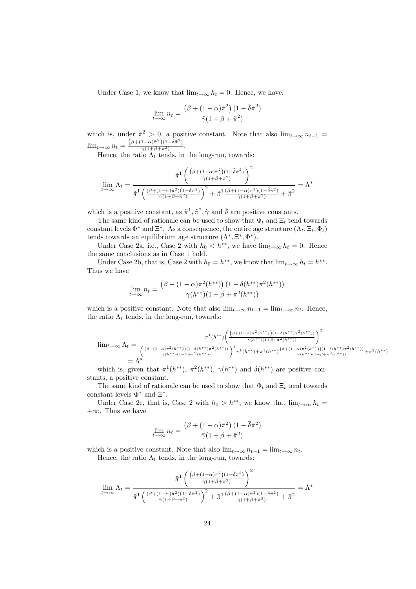Under Case 1, we know that  $\lim_{t\to\infty} h_t = 0$ . Hence, we have:

$$
\lim_{t \to \infty} n_t = \frac{\left(\beta + (1 - \alpha)\tilde{\pi}^2\right)(1 - \tilde{\delta}\tilde{\pi}^2)}{\tilde{\gamma}(1 + \beta + \tilde{\pi}^2)}
$$

which is, under  $\tilde{\pi}^2 > 0$ , a positive constant. Note that also  $\lim_{t\to\infty} n_{t-1} =$  $\lim_{t\to\infty} n_t = \frac{(\beta+(1-\alpha)\tilde{\pi}^2)(1-\tilde{\delta}\tilde{\pi}^2)}{\tilde{\gamma}(1+\beta+\tilde{\pi}^2)}$  $rac{\tilde{\gamma}(1+\beta+\tilde{\pi}^2)}{(\tilde{\gamma}(1+\beta+\tilde{\pi}^2))}$ .

Hence, the ratio  $\Lambda_t$  tends, in the long-run, towards:

$$
\lim_{t \to \infty} \Lambda_t = \frac{\tilde{\pi}^1 \left( \frac{(\beta + (1 - \alpha)\tilde{\pi}^2)(1 - \tilde{\delta}\tilde{\pi}^2)}{\tilde{\gamma}(1 + \beta + \tilde{\pi}^2)} \right)^2}{\tilde{\pi}^1 \left( \frac{(\beta + (1 - \alpha)\tilde{\pi}^2)(1 - \tilde{\delta}\tilde{\pi}^2)}{\tilde{\gamma}(1 + \beta + \tilde{\pi}^2)} \right)^2 + \tilde{\pi}^1 \frac{(\beta + (1 - \alpha)\tilde{\pi}^2)(1 - \tilde{\delta}\tilde{\pi}^2)}{\tilde{\gamma}(1 + \beta + \tilde{\pi}^2)} + \tilde{\pi}^2} = \Lambda^*
$$

which is a positive constant, as  $\tilde{\pi}^1$ ,  $\tilde{\pi}^2$ ,  $\tilde{\gamma}$  and  $\tilde{\delta}$  are positive constants.

The same kind of rationale can be used to show that  $\Phi_t$  and  $\Xi_t$  tend towards constant levels  $\Phi^*$  and  $\Xi^*$ . As a consequence, the entire age structure  $(\Lambda_t, \Xi_t, \Phi_t)$ tends towards an equilibrium age structure  $(\Lambda^*, \Xi^*, \Phi^*).$ 

Under Case 2a, i.e., Case 2 with  $h_0 < h^{**}$ , we have  $\lim_{t \to \infty} h_t = 0$ . Hence the same conclusions as in Case 1 hold.

Under Case 2b, that is, Case 2 with  $h_0 = h^{**}$ , we know that  $\lim_{t \to \infty} h_t = h^{**}$ . Thus we have

$$
\lim_{t \to \infty} n_t = \frac{\left(\beta + (1 - \alpha)\pi^2(h^{**})\right)(1 - \delta(h^{**})\pi^2(h^{**}))}{\gamma(h^{**})(1 + \beta + \pi^2(h^{**}))}
$$

which is a positive constant. Note that also  $\lim_{t\to\infty} n_{t-1} = \lim_{t\to\infty} n_t$ . Hence, the ratio  $\Lambda_t$  tends, in the long-run, towards:

$$
\lim_{t \to \infty} \Lambda_t = \frac{\pi^1(h^{**}) \left( \frac{\left(\beta + (1 - \alpha)\pi^2(h^{**})\right) (1 - \delta(h^{**})\pi^2(h^{**}))}{\gamma(h^{**})(1 + \beta + \pi^2(h^{**}))} \right)^2}{\left( \frac{\left(\beta + (1 - \alpha)\pi^2(h^{**})\right) (1 - \delta(h^{**})\pi^2(h^{**}))}{\gamma(h^{**})(1 + \beta + \pi^2(h^{**}))} \right)^2 \pi^1(h^{**}) + \pi^1(h^{**}) \frac{\left(\beta + (1 - \alpha)\pi^2(h^{**})\right) (1 - \delta(h^{**})\pi^2(h^{**}))}{\gamma(h^{**})(1 + \beta + \pi^2(h^{**}))} + \pi^2(h^{**})}{\gamma(h^{**})(1 + \beta + \pi^2(h^{**}))} + \pi^2(h^{**})
$$

which is, given that  $\pi^1(h^{**}), \pi^2(h^{**}), \gamma(h^{**})$  and  $\delta(h^{**})$  are positive constants, a positive constant.

The same kind of rationale can be used to show that  $\Phi_t$  and  $\Xi_t$  tend towards constant levels  $\Phi^*$  and  $\Xi^*$ .

Under Case 2c, that is, Case 2 with  $h_0 > h^{**}$ , we know that  $\lim_{t\to\infty} h_t =$  $+\infty$ . Thus we have

$$
\lim_{t \to \infty} n_t = \frac{\left(\beta + (1 - \alpha)\bar{\pi}^2\right)(1 - \bar{\delta}\bar{\pi}^2)}{\bar{\gamma}(1 + \beta + \bar{\pi}^2)}
$$

which is a positive constant. Note that also  $\lim_{t\to\infty} n_{t-1} = \lim_{t\to\infty} n_t$ .

Hence, the ratio  $\Lambda_t$  tends, in the long-run, towards:

$$
\lim_{t \to \infty} \Lambda_t = \frac{\bar{\pi}^1 \left( \frac{\left(\beta + (1 - \alpha)\bar{\pi}^2\right) (1 - \bar{\delta}\bar{\pi}^2)}{\bar{\gamma}(1 + \beta + \bar{\pi}^2)} \right)^2}{\bar{\pi}^1 \left( \frac{\left(\beta + (1 - \alpha)\bar{\pi}^2\right) (1 - \bar{\delta}\bar{\pi}^2)}{\bar{\gamma}(1 + \beta + \bar{\pi}^2)} \right)^2 + \bar{\pi}^1 \frac{\left(\beta + (1 - \alpha)\bar{\pi}^2)(1 - \bar{\delta}\bar{\pi}^2\right)}{\bar{\gamma}(1 + \beta + \bar{\pi}^2)} + \bar{\pi}^2} = \Lambda^*
$$